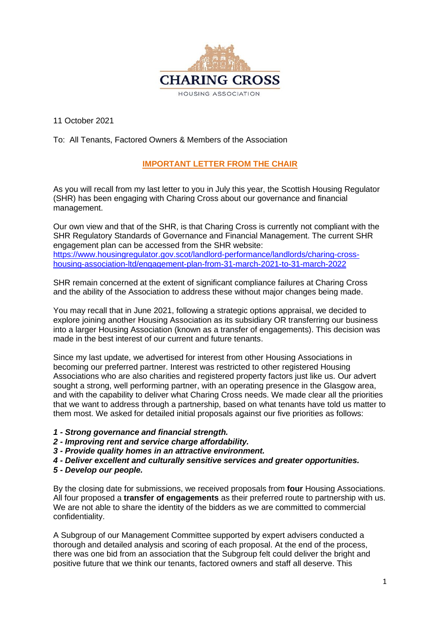

11 October 2021

## To: All Tenants, Factored Owners & Members of the Association

## **IMPORTANT LETTER FROM THE CHAIR**

As you will recall from my last letter to you in July this year, the Scottish Housing Regulator (SHR) has been engaging with Charing Cross about our governance and financial management.

Our own view and that of the SHR, is that Charing Cross is currently not compliant with the SHR Regulatory Standards of Governance and Financial Management. The current SHR engagement plan can be accessed from the SHR website: [https://www.housingregulator.gov.scot/landlord-performance/landlords/charing-cross](https://www.housingregulator.gov.scot/landlord-performance/landlords/charing-cross-housing-association-ltd/engagement-plan-from-31-march-2021-to-31-march-2022)[housing-association-ltd/engagement-plan-from-31-march-2021-to-31-march-2022](https://www.housingregulator.gov.scot/landlord-performance/landlords/charing-cross-housing-association-ltd/engagement-plan-from-31-march-2021-to-31-march-2022)

SHR remain concerned at the extent of significant compliance failures at Charing Cross and the ability of the Association to address these without major changes being made.

You may recall that in June 2021, following a strategic options appraisal, we decided to explore joining another Housing Association as its subsidiary OR transferring our business into a larger Housing Association (known as a transfer of engagements). This decision was made in the best interest of our current and future tenants.

Since my last update, we advertised for interest from other Housing Associations in becoming our preferred partner. Interest was restricted to other registered Housing Associations who are also charities and registered property factors just like us. Our advert sought a strong, well performing partner, with an operating presence in the Glasgow area, and with the capability to deliver what Charing Cross needs. We made clear all the priorities that we want to address through a partnership, based on what tenants have told us matter to them most. We asked for detailed initial proposals against our five priorities as follows:

- *1 - Strong governance and financial strength.*
- *2 - Improving rent and service charge affordability.*
- *3 - Provide quality homes in an attractive environment.*
- *4 - Deliver excellent and culturally sensitive services and greater opportunities.*
- *5 - Develop our people.*

By the closing date for submissions, we received proposals from **four** Housing Associations. All four proposed a **transfer of engagements** as their preferred route to partnership with us. We are not able to share the identity of the bidders as we are committed to commercial confidentiality.

A Subgroup of our Management Committee supported by expert advisers conducted a thorough and detailed analysis and scoring of each proposal. At the end of the process, there was one bid from an association that the Subgroup felt could deliver the bright and positive future that we think our tenants, factored owners and staff all deserve. This